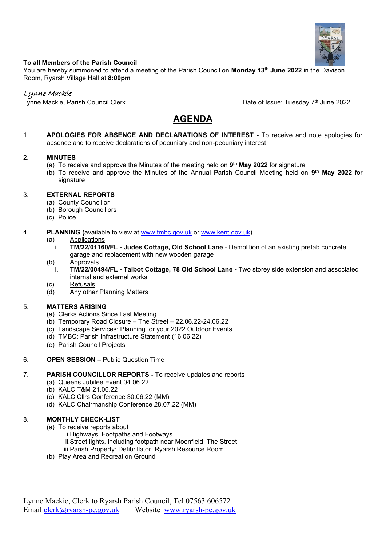

#### **To all Members of the Parish Council**

You are hereby summoned to attend a meeting of the Parish Council on **Monday 13th June 2022** in the Davison Room, Ryarsh Village Hall at **8:00pm**

## Lynne Mackie

Lynne Mackie, Parish Council Clerk

Date of Issue: Tuesday 7th June 2022

# **AGENDA**

1. **APOLOGIES FOR ABSENCE AND DECLARATIONS OF INTEREST -** To receive and note apologies for absence and to receive declarations of pecuniary and non-pecuniary interest

#### 2. **MINUTES**

- (a) To receive and approve the Minutes of the meeting held on **9 th May 2022** for signature
- (b) To receive and approve the Minutes of the Annual Parish Council Meeting held on **9 th May 2022** for signature

## 3. **EXTERNAL REPORTS**

- (a) County Councillor
- (b) Borough Councillors
- (c) Police
- 4. **PLANNING (**available to view at [www.tmbc.gov.uk](http://www.tmbc.gov.uk/) or [www.kent.gov.uk\)](http://www.kent.gov.uk/)
	- (a) Applications
		- i. **TM/22/01160/FL - Judes Cottage, Old School Lane** Demolition of an existing prefab concrete garage and replacement with new wooden garage

#### (b) Approvals

- i. **TM/22/00494/FL - Talbot Cottage, 78 Old School Lane -** Two storey side extension and associated internal and external works
- (c) Refusals
- (d) Any other Planning Matters

## 5. **MATTERS ARISING**

- (a) Clerks Actions Since Last Meeting
- (b) Temporary Road Closure The Street 22.06.22-24.06.22
- (c) Landscape Services: Planning for your 2022 Outdoor Events
- (d) TMBC: Parish Infrastructure Statement (16.06.22)
- (e) Parish Council Projects

## 6. **OPEN SESSION –** Public Question Time

## 7. **PARISH COUNCILLOR REPORTS -** To receive updates and reports

- (a) Queens Jubilee Event 04.06.22
- (b) KALC T&M 21.06.22
- (c) KALC Cllrs Conference 30.06.22 (MM)
- (d) KALC Chairmanship Conference 28.07.22 (MM)

## 8. **MONTHLY CHECK-LIST**

- (a) To receive reports about
	- i.Highways, Footpaths and Footways
	- ii.Street lights, including footpath near Moonfield, The Street
	- iii.Parish Property: Defibrillator, Ryarsh Resource Room
- (b) Play Area and Recreation Ground